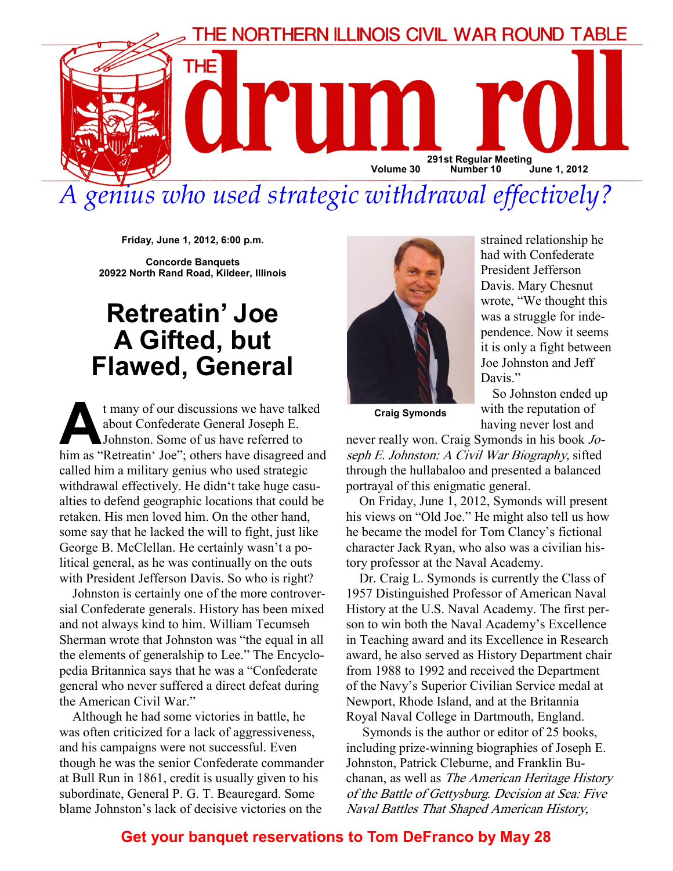

genius who used strategic withdrawal effectively?

Friday, June 1, 2012, 6:00 p.m.

Concorde Banquets 20922 North Rand Road, Kildeer, Illinois

## Retreatin' Joe A Gifted, but Flawed, General

t many of our discussions we have talked about Confederate General Joseph E. Johnston. Some of us have referred to him as "Retreatin' Joe"; others have disagreed and called him a military genius who used strategic withdrawal effectively. He didn't take huge casualties to defend geographic locations that could be retaken. His men loved him. On the other hand, some say that he lacked the will to fight, just like George B. McClellan. He certainly wasn't a political general, as he was continually on the outs with President Jefferson Davis. So who is right?

Johnston is certainly one of the more controversial Confederate generals. History has been mixed and not always kind to him. William Tecumseh Sherman wrote that Johnston was "the equal in all the elements of generalship to Lee." The Encyclopedia Britannica says that he was a "Confederate general who never suffered a direct defeat during the American Civil War."

Although he had some victories in battle, he was often criticized for a lack of aggressiveness, and his campaigns were not successful. Even though he was the senior Confederate commander at Bull Run in 1861, credit is usually given to his subordinate, General P. G. T. Beauregard. Some blame Johnston's lack of decisive victories on the



strained relationship he had with Confederate President Jefferson Davis. Mary Chesnut wrote, "We thought this was a struggle for independence. Now it seems it is only a fight between Joe Johnston and Jeff Davis."

 So Johnston ended up with the reputation of having never lost and

Craig Symonds

never really won. Craig Symonds in his book Joseph E. Johnston: A Civil War Biography, sifted through the hullabaloo and presented a balanced portrayal of this enigmatic general.

On Friday, June 1, 2012, Symonds will present his views on "Old Joe." He might also tell us how he became the model for Tom Clancy's fictional character Jack Ryan, who also was a civilian history professor at the Naval Academy.

Dr. Craig L. Symonds is currently the Class of 1957 Distinguished Professor of American Naval History at the U.S. Naval Academy. The first person to win both the Naval Academy's Excellence in Teaching award and its Excellence in Research award, he also served as History Department chair from 1988 to 1992 and received the Department of the Navy's Superior Civilian Service medal at Newport, Rhode Island, and at the Britannia Royal Naval College in Dartmouth, England.

 Symonds is the author or editor of 25 books, including prize-winning biographies of Joseph E. Johnston, Patrick Cleburne, and Franklin Buchanan, as well as The American Heritage History of the Battle of Gettysburg. Decision at Sea: Five Naval Battles That Shaped American History,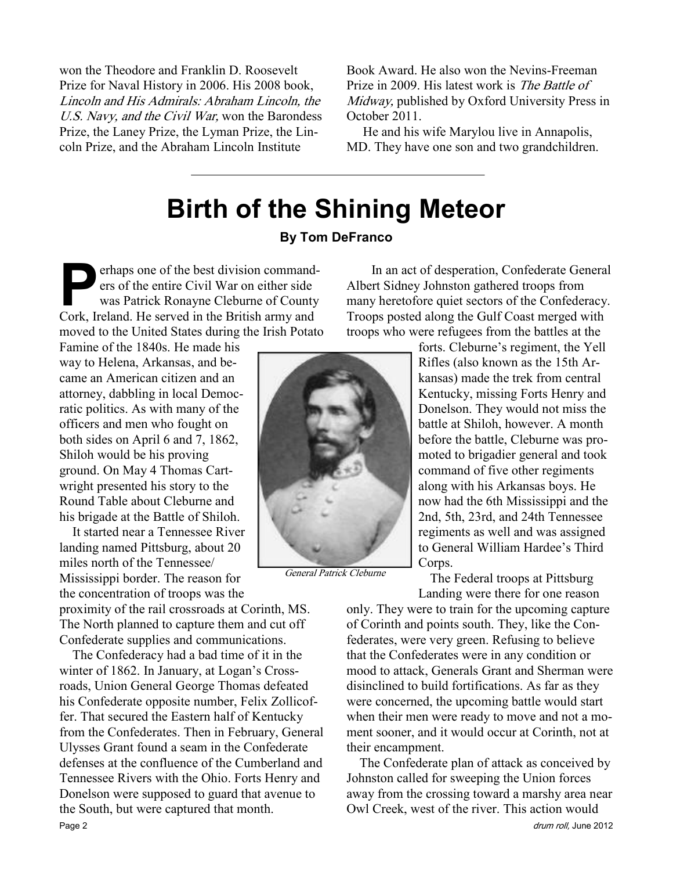won the Theodore and Franklin D. Roosevelt Prize for Naval History in 2006. His 2008 book, Lincoln and His Admirals: Abraham Lincoln, the U.S. Navy, and the Civil War, won the Barondess Prize, the Laney Prize, the Lyman Prize, the Lincoln Prize, and the Abraham Lincoln Institute

Book Award. He also won the Nevins-Freeman Prize in 2009. His latest work is The Battle of Midway, published by Oxford University Press in October 2011.

 He and his wife Marylou live in Annapolis, MD. They have one son and two grandchildren.

# Birth of the Shining Meteor

#### By Tom DeFranco

erhaps one of the best division command-<br>ers of the entire Civil War on either side<br>was Patrick Ronayne Cleburne of County<br>Cork Ireland He served in the British army and ers of the entire Civil War on either side was Patrick Ronayne Cleburne of County Cork, Ireland. He served in the British army and moved to the United States during the Irish Potato

Famine of the 1840s. He made his way to Helena, Arkansas, and became an American citizen and an attorney, dabbling in local Democratic politics. As with many of the officers and men who fought on both sides on April 6 and 7, 1862, Shiloh would be his proving ground. On May 4 Thomas Cartwright presented his story to the Round Table about Cleburne and his brigade at the Battle of Shiloh.

It started near a Tennessee River landing named Pittsburg, about 20 miles north of the Tennessee/ Mississippi border. The reason for the concentration of troops was the

proximity of the rail crossroads at Corinth, MS. The North planned to capture them and cut off Confederate supplies and communications.

The Confederacy had a bad time of it in the winter of 1862. In January, at Logan's Crossroads, Union General George Thomas defeated his Confederate opposite number, Felix Zollicoffer. That secured the Eastern half of Kentucky from the Confederates. Then in February, General Ulysses Grant found a seam in the Confederate defenses at the confluence of the Cumberland and Tennessee Rivers with the Ohio. Forts Henry and Donelson were supposed to guard that avenue to the South, but were captured that month.



General Patrick Cleburne

 In an act of desperation, Confederate General Albert Sidney Johnston gathered troops from many heretofore quiet sectors of the Confederacy. Troops posted along the Gulf Coast merged with troops who were refugees from the battles at the

> forts. Cleburne's regiment, the Yell Rifles (also known as the 15th Arkansas) made the trek from central Kentucky, missing Forts Henry and Donelson. They would not miss the battle at Shiloh, however. A month before the battle, Cleburne was promoted to brigadier general and took command of five other regiments along with his Arkansas boys. He now had the 6th Mississippi and the 2nd, 5th, 23rd, and 24th Tennessee regiments as well and was assigned to General William Hardee's Third Corps.

 The Federal troops at Pittsburg Landing were there for one reason

only. They were to train for the upcoming capture of Corinth and points south. They, like the Confederates, were very green. Refusing to believe that the Confederates were in any condition or mood to attack, Generals Grant and Sherman were disinclined to build fortifications. As far as they were concerned, the upcoming battle would start when their men were ready to move and not a moment sooner, and it would occur at Corinth, not at their encampment.

The Confederate plan of attack as conceived by Johnston called for sweeping the Union forces away from the crossing toward a marshy area near Owl Creek, west of the river. This action would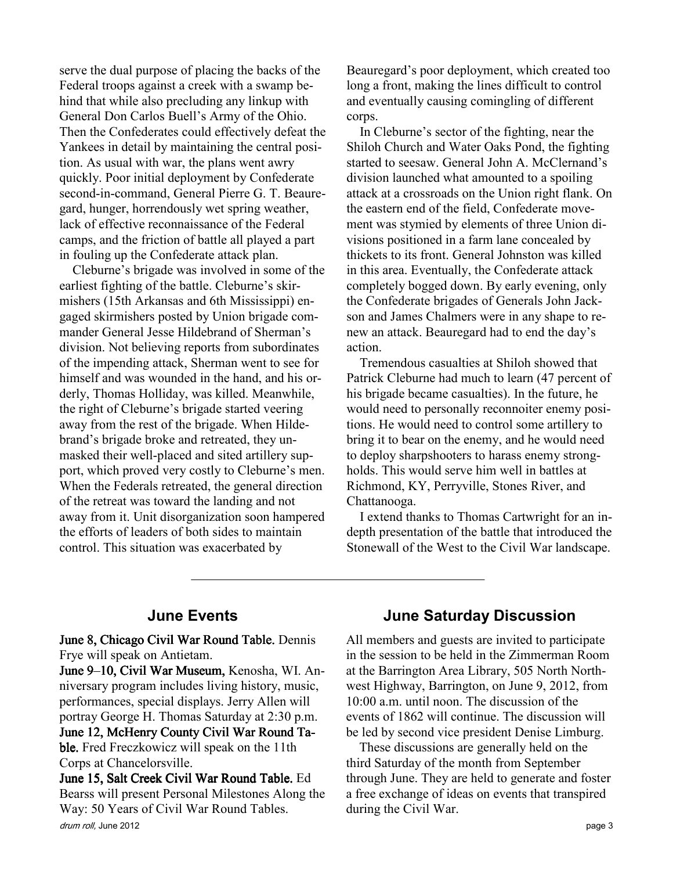serve the dual purpose of placing the backs of the Federal troops against a creek with a swamp behind that while also precluding any linkup with General Don Carlos Buell's Army of the Ohio. Then the Confederates could effectively defeat the Yankees in detail by maintaining the central position. As usual with war, the plans went awry quickly. Poor initial deployment by Confederate second-in-command, General Pierre G. T. Beauregard, hunger, horrendously wet spring weather, lack of effective reconnaissance of the Federal camps, and the friction of battle all played a part in fouling up the Confederate attack plan.

Cleburne's brigade was involved in some of the earliest fighting of the battle. Cleburne's skirmishers (15th Arkansas and 6th Mississippi) engaged skirmishers posted by Union brigade commander General Jesse Hildebrand of Sherman's division. Not believing reports from subordinates of the impending attack, Sherman went to see for himself and was wounded in the hand, and his orderly, Thomas Holliday, was killed. Meanwhile, the right of Cleburne's brigade started veering away from the rest of the brigade. When Hildebrand's brigade broke and retreated, they unmasked their well-placed and sited artillery support, which proved very costly to Cleburne's men. When the Federals retreated, the general direction of the retreat was toward the landing and not away from it. Unit disorganization soon hampered the efforts of leaders of both sides to maintain control. This situation was exacerbated by

Beauregard's poor deployment, which created too long a front, making the lines difficult to control and eventually causing comingling of different corps.

In Cleburne's sector of the fighting, near the Shiloh Church and Water Oaks Pond, the fighting started to seesaw. General John A. McClernand's division launched what amounted to a spoiling attack at a crossroads on the Union right flank. On the eastern end of the field, Confederate movement was stymied by elements of three Union divisions positioned in a farm lane concealed by thickets to its front. General Johnston was killed in this area. Eventually, the Confederate attack completely bogged down. By early evening, only the Confederate brigades of Generals John Jackson and James Chalmers were in any shape to renew an attack. Beauregard had to end the day's action.

Tremendous casualties at Shiloh showed that Patrick Cleburne had much to learn (47 percent of his brigade became casualties). In the future, he would need to personally reconnoiter enemy positions. He would need to control some artillery to bring it to bear on the enemy, and he would need to deploy sharpshooters to harass enemy strongholds. This would serve him well in battles at Richmond, KY, Perryville, Stones River, and Chattanooga.

I extend thanks to Thomas Cartwright for an indepth presentation of the battle that introduced the Stonewall of the West to the Civil War landscape.

#### June Events

June 8, Chicago Civil War Round Table. Dennis Frye will speak on Antietam.

June 9–10, Civil War Museum, Kenosha, WI. Anniversary program includes living history, music, performances, special displays. Jerry Allen will portray George H. Thomas Saturday at 2:30 p.m. June 12, McHenry County Civil War Round Ta-

ble. Fred Freczkowicz will speak on the 11th Corps at Chancelorsville.

drum roll, June 2012 **page 3** June 15, Salt Creek Civil War Round Table. Ed. Bearss will present Personal Milestones Along the Way: 50 Years of Civil War Round Tables.

### June Saturday Discussion

All members and guests are invited to participate in the session to be held in the Zimmerman Room at the Barrington Area Library, 505 North Northwest Highway, Barrington, on June 9, 2012, from 10:00 a.m. until noon. The discussion of the events of 1862 will continue. The discussion will be led by second vice president Denise Limburg.

These discussions are generally held on the third Saturday of the month from September through June. They are held to generate and foster a free exchange of ideas on events that transpired during the Civil War.